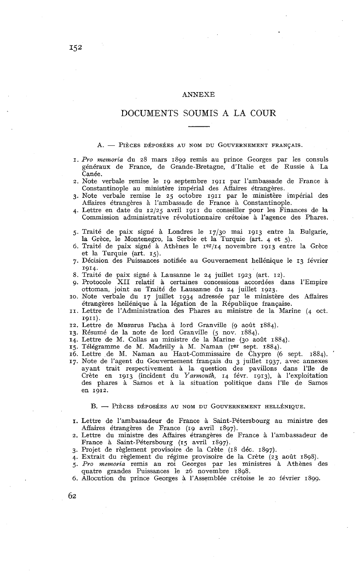### ANNEXE

# DOCUMENTS SOUMIS A LA COUR

#### A. - PIÈCES DÉPOSÉES AU NOM DU GOUVERNEMENT FRANÇAIS.

- I. *Pro memoria* du 28 mars 1899 remis au prince Georges par les consuls généraux de France, de Grande-Bretagne, d'Italie et de Russie à La Canée.
- 2. Note verbale remise le 19 septembre 1911 par l'ambassade de France à Constantinople au ministère impérial des Affaires étrangères.
- 3. Note verbale remise le 25 octobre 1911 par le ministère inipérial des Affaires étrangères à l'ambassade de France à Constantinople.
- 4. Lettre en date du 12/25 avril 1911 du conseiller pour les Finances de la Commission administrative révolutionnaire crétoise à l'agence des Phares.
- 5. Traité de paix signé à Londres le 17/30 mai 1913 entre la Bulgarie, la Grèce, le Montenegro, la Serbie et la Turquie (art. 4 et 5).
- 6. Traité de paix signé à Athènes le 1er/14 novembre 1913 entre la Grèce et la Turquie (art. 15).
- 7. Décision des Puissances notifiée au Gouvernement hellénique le 13 février 1914.
- 8. Traité de paix signé à Lausanne le 24 juillet 1923 (art. 12).
- g. Protocole XII relatif à certaines concessions accordées dans l'Empire ottoman, joint au Traité de Lausanne du 24 juillet 1923.
- IO. Note verbale du 17 juillet 1934 adressée par le ministère des Affaires étrangères hellénique à la légation de la République française.
- II. Lettre de l'Administration des Phares au ministre de la Marine (4 oct. 1911).
- 12. Lettre de Musurus Pacha à lord Granville (g août 1884).
- 13. Résumé de la note de lord Granville (5 nov. 1884).
- 14. Lettre de M. Collas au ministre de la Marine (30 août 1884).
- 15. Télégramme de M. Madrilly à M. Naman (1er sept. 1884).
- 16. Lettre de M. Naman au Haut-Commissaire de Chypre *(6* sept. 1884).
- 17. Note de l'agent du Gouvernement français du 3 juillet 1937, avec annexes ayant trait respectivement à la question des pavillons dans l'île de Crète en 1913 (incident du *Yarmouth,* 14 févr. 1913). à l'exploitation des phares à Samos et à la situation politique dans l'île de Samos en 1912.

### B. - PIÈCES DÉPOSÉES AU NOM DU GOUVERNEMENT HELLÉNIQUE.

- I. Lettre de l'ambassadeur de France à Saint-Pétersbourg au ministre des Affaires étrangères de France (19 avril 1897).
- 2. Lettre du ministre des Affaires étrangères de France à l'ambassadeur de France à Saint-Pétersbourg (15 avril 1897).
- 3. Projet de règlement provisoire de la Crète (18 déc. 1897).
- 4. Extrait du règlement du régime provisoire de la Crète (23 août 1898).
- 5. *Pro memoria* remis au roi Georges par les ministres à Athènes des quatre grandes Puissances le 26 novembre 1898.
- *6.* Allocution du prince Georges à l'Assemblée crétoise le 20 février 1899.

62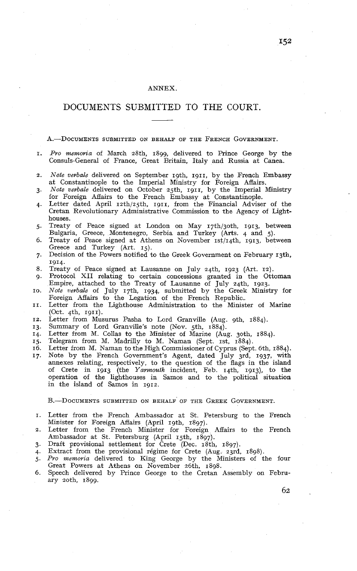### ANNEX.

# DOCUMENTS SUBMITTED TO THE COURT

A.-DOCUMENTS SUBMITTED ON BEHALF OF THE FRENCH GOVERNMENT.

- I. *Pro memoria* of March 28th. 1899, delivered to Prince George by the Consuls-General of France, Great Britain, Italy and Russia at Canea.
- *Note verbale* delivered on September 19th, 1911, by the French Embassy  $\overline{2}$ . at Constantinople to the Imperial Ministry for Foreign Affairs.
- *Note verbale* delivered on October 25th, 1911, by the Imperial Ministry  $3.$ for Foreign Affairs to the French Embassy at Constantinople.
- Letter dated April 12th/25th, 1911, from the Financial Adviser of the Cretan Revolutionary Administrative Commission to the Agency of Lighthouses.
- Treaty of Peace signed at London on May 17th/goth, 1913, between Bulgaria, Greece, Montenegro, Serbia and Turkey (Arts. 4 and 5).
- Treaty of Peace signed at Athens on November 1st/14th, 1913, between Greece and Turkey (Art. 15).
- Decision of the Powers notified to the Greek Government on February 13th. 1914.
- 8. Treaty of Peace signed at Lausanne on July 24th. 1923 (Art. 12).
- Protocol XII relating to certain concessions granted in the Ottoman  $\alpha$ . Empire, attached to the Treaty of Lausanne of July 24th, 1923.
- IO. *Note verbale* of July 17th, 1934, submitted by the Greek Ministry for Foreign Affairs to the Legation of the French Republic.
- II. Letter from the Lighthouse Administration to the Minister of Marine (Oct.  $4th$ , 1911).
- Letter from Musurus Pasha to Lord Granville (Aug. gth, 1884). I2.
- Summary of Lord Granville's note (Nov. 5th, 1884). 13.
- Letter from M. Collas to the Minister of Marine (Aug. 3oth, 1884). 14.
- Telegram from M. Madrilly to M. Naman (Sept. 1st, 1884). I5.
- 16. Letter from M. Naman to the High Commissioner of Cyprus (Sept. 6th, 1884).
- Note by the French Government's Agent, dated July 3rd, 1937, with  $17.$ annexes relating, respectively, to the question of the flags in the island of Crete in 1913 (the *Yarmouth* incident, Feb. 14th, 1913), to the operation of the lighthouses in Samos and to the political situation in the island of Samos in 1912.

B.-DOCUMENTS SUBMITTED ON BEHALF OF THE GREEK GOVERNMENT.

- I. Letter from the French Ambassador at St. Petersburg to the French Minister for Foreign Affairs (April 19th, 1897).
- 2. Letter from the French Minister for Foreign Affairs to the French Ambassador at St. Petersburg (April 15th, 1897).
- **3.** Draft provisional settlement for Crete (Dec. 18th, 1897).
- 4. Extract from the provisional régime for Crete (Aug. 23rd, 1898).
- 5. *Pro memoria* delivered to King George by the Ministers of the four Great Powers at Athens on November 26th, 1898.
- *6.* Speech delivered by Prince George to the Cretan Assembly on February zoth, 1899.

152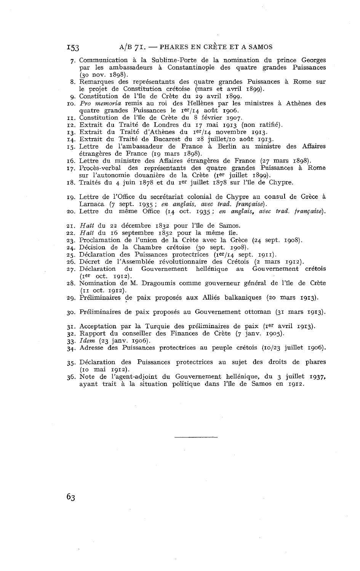- **7.** Communication à la Sublime-Porte de la nomination du prince Georges par les ambassadeurs à Constantinople des quatre grandes Puissances (30 nov. 1898).
- 8. Remarques des représentants des quatre grandes Puissances & Rome sur le projet de Constitution crétoise (mars et avril 1899).
- 9. Constitution de l'île de Crète du 29 avril 1899.
- IO. Pro memoria remis au roi des Hellènes par les ministres à Athènes des quatre grandes Puissances le 1er/14 août 1906. II. Constitution de l'île de Crète du 8 février 1907.
- 
- 12. Extrait du Traité de Londres du 17 mai 1913 (non ratifié).
- 13. Extrait du Traité d'Athènes du 1er/14 novembre 1913.
- 14. Extrait du Traité de Bucarest du 28 juillet/10 août 1913.
- 15. Lettre de l'ambassadeur de France à Berlin au ministre des Affaires étrangères de France (19 mars 1898).
- 16. Lettre du ministre des Affaires étrangères de France (27 mars 1898).
- 17. Procès-verbal des représentants des quatre grandes Puissances à Rome sur l'autonomie douanière de la Crète (1er juillet 1899).
- 18. Traités du 4 juin 1878 et du 1er juillet 1878 sur l'île de Chypre.
- 19. Lettre de l'Office du secrétariat colonial de Chypre au consul de Grèce à Larnaca (7 sept. 1935; en anglais, avec trad. française).
- 20. Lettre du même Office (14 oct. 1935; en anglais, avec trad. française).
- 21. Hatt du 22 décembre 1832 pour l'île de Samos.
- 22. Hatt du 16 septembre 1852 pour la même île.
- 23. Proclamation de l'union de la Crète avec la Grèce (24 sept. 1908).
- 24. Décision de la Chambre crétoise (30 sept. 1908).
- 25. Déclaration des Puissances protectrices (1er/14 sept. 1911).
- 
- 26. Décret de l'Assemblée révolutionnaire des Crétois (2 mars 1912). Gouvernement hellénique au Gouvernement crétois  $(Ier oct. 1912).$
- 28. Nomination de M. Dragoumis comme gouverneur général de l'île de Crète (11 OC^. 1912).
- 29. Préliminaires de paix proposés aux Alliés balkaniques (20 mars 1913).

30. Préliminaires de paix proposés au Gouvernement ottoman (31 mars 1913).

31. Acceptation par la Turquie des préliminaires de paix (rer avril 1913).

32. Rapport du conseiller des Finances de Crète (7 janv. 1905).

- 33. Idem (23 janv. 1906).
- 34. Adresse des Puissances protectrices au peuple crétois (10/23 juillet 1906).
- 35. Déclaration des Puissances protectrices au sujet des droits de phares (IO mai 1912).
- 36. Note de l'agent-adjoint du Gouvernement hellénique, du **3** juillet 1937, ayant trait à la situation politique dans l'île de Samos en 1912.